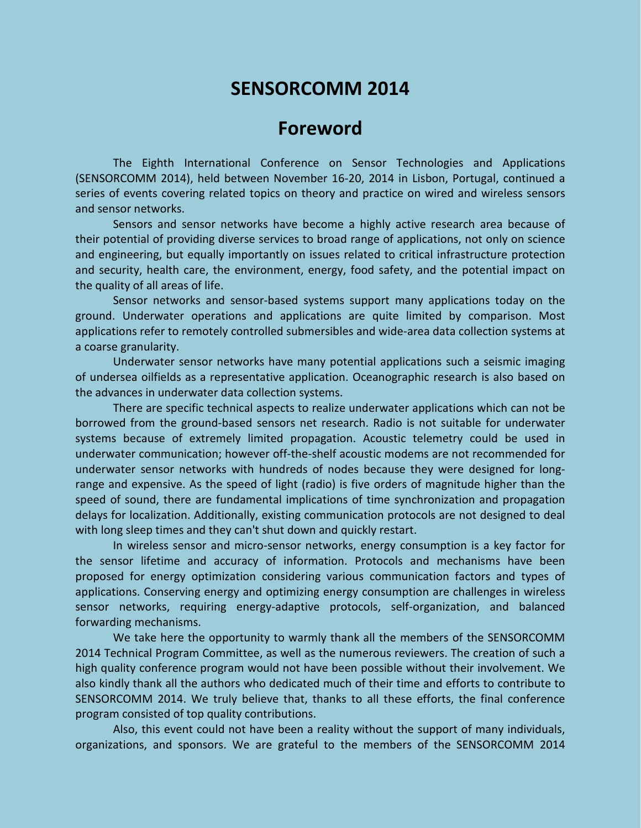# **SENSORCOMM 2014**

# **Foreword**

The Eighth International Conference on Sensor Technologies and Applications (SENSORCOMM 2014), held between November 16-20, 2014 in Lisbon, Portugal, continued a series of events covering related topics on theory and practice on wired and wireless sensors and sensor networks.

Sensors and sensor networks have become a highly active research area because of their potential of providing diverse services to broad range of applications, not only on science and engineering, but equally importantly on issues related to critical infrastructure protection and security, health care, the environment, energy, food safety, and the potential impact on the quality of all areas of life.

Sensor networks and sensor-based systems support many applications today on the ground. Underwater operations and applications are quite limited by comparison. Most applications refer to remotely controlled submersibles and wide-area data collection systems at a coarse granularity.

Underwater sensor networks have many potential applications such a seismic imaging of undersea oilfields as a representative application. Oceanographic research is also based on the advances in underwater data collection systems.

There are specific technical aspects to realize underwater applications which can not be borrowed from the ground-based sensors net research. Radio is not suitable for underwater systems because of extremely limited propagation. Acoustic telemetry could be used in underwater communication; however off-the-shelf acoustic modems are not recommended for underwater sensor networks with hundreds of nodes because they were designed for longrange and expensive. As the speed of light (radio) is five orders of magnitude higher than the speed of sound, there are fundamental implications of time synchronization and propagation delays for localization. Additionally, existing communication protocols are not designed to deal with long sleep times and they can't shut down and quickly restart.

In wireless sensor and micro-sensor networks, energy consumption is a key factor for the sensor lifetime and accuracy of information. Protocols and mechanisms have been proposed for energy optimization considering various communication factors and types of applications. Conserving energy and optimizing energy consumption are challenges in wireless sensor networks, requiring energy-adaptive protocols, self-organization, and balanced forwarding mechanisms.

We take here the opportunity to warmly thank all the members of the SENSORCOMM 2014 Technical Program Committee, as well as the numerous reviewers. The creation of such a high quality conference program would not have been possible without their involvement. We also kindly thank all the authors who dedicated much of their time and efforts to contribute to SENSORCOMM 2014. We truly believe that, thanks to all these efforts, the final conference program consisted of top quality contributions.

Also, this event could not have been a reality without the support of many individuals, organizations, and sponsors. We are grateful to the members of the SENSORCOMM 2014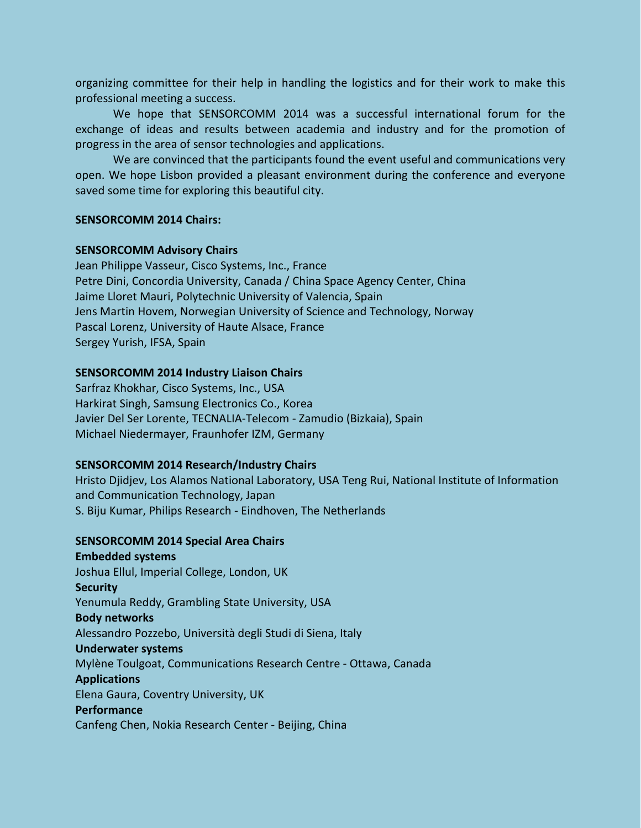organizing committee for their help in handling the logistics and for their work to make this professional meeting a success.

We hope that SENSORCOMM 2014 was a successful international forum for the exchange of ideas and results between academia and industry and for the promotion of progress in the area of sensor technologies and applications.

We are convinced that the participants found the event useful and communications very open. We hope Lisbon provided a pleasant environment during the conference and everyone saved some time for exploring this beautiful city.

### **SENSORCOMM 2014 Chairs:**

### **SENSORCOMM Advisory Chairs**

Jean Philippe Vasseur, Cisco Systems, Inc., France Petre Dini, Concordia University, Canada / China Space Agency Center, China Jaime Lloret Mauri, Polytechnic University of Valencia, Spain Jens Martin Hovem, Norwegian University of Science and Technology, Norway Pascal Lorenz, University of Haute Alsace, France Sergey Yurish, IFSA, Spain

### **SENSORCOMM 2014 Industry Liaison Chairs**

Sarfraz Khokhar, Cisco Systems, Inc., USA Harkirat Singh, Samsung Electronics Co., Korea Javier Del Ser Lorente, TECNALIA-Telecom - Zamudio (Bizkaia), Spain Michael Niedermayer, Fraunhofer IZM, Germany

### **SENSORCOMM 2014 Research/Industry Chairs**

Hristo Djidjev, Los Alamos National Laboratory, USA Teng Rui, National Institute of Information and Communication Technology, Japan S. Biju Kumar, Philips Research - Eindhoven, The Netherlands

## **SENSORCOMM 2014 Special Area Chairs**

**Embedded systems** Joshua Ellul, Imperial College, London, UK **Security** Yenumula Reddy, Grambling State University, USA **Body networks** Alessandro Pozzebo, Università degli Studi di Siena, Italy **Underwater systems** Mylène Toulgoat, Communications Research Centre - Ottawa, Canada **Applications** Elena Gaura, Coventry University, UK **Performance** Canfeng Chen, Nokia Research Center - Beijing, China